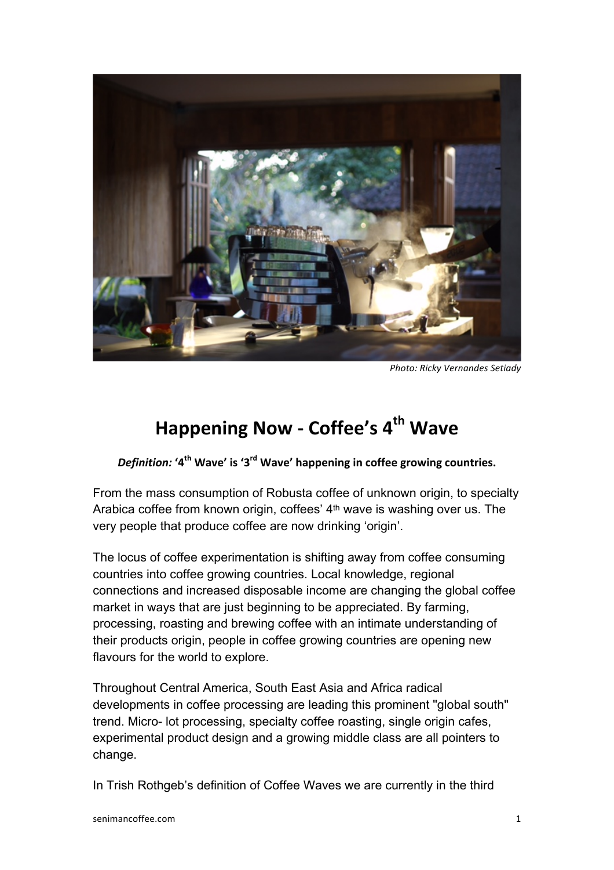

**Photo: Ricky Vernandes Setiady** 

## **Happening!Now!, Coffee's!4th Wave**

*Definition:* **'4<sup>th</sup> Wave' is '3<sup>rd</sup> Wave' happening in coffee growing countries.** 

From the mass consumption of Robusta coffee of unknown origin, to specialty Arabica coffee from known origin, coffees' 4<sup>th</sup> wave is washing over us. The very people that produce coffee are now drinking ʻorigin'.

The locus of coffee experimentation is shifting away from coffee consuming countries into coffee growing countries. Local knowledge, regional connections and increased disposable income are changing the global coffee market in ways that are just beginning to be appreciated. By farming, processing, roasting and brewing coffee with an intimate understanding of their products origin, people in coffee growing countries are opening new flavours for the world to explore.

Throughout Central America, South East Asia and Africa radical developments in coffee processing are leading this prominent "global south" trend. Micro- lot processing, specialty coffee roasting, single origin cafes, experimental product design and a growing middle class are all pointers to change.

In Trish Rothgeb's definition of Coffee Waves we are currently in the third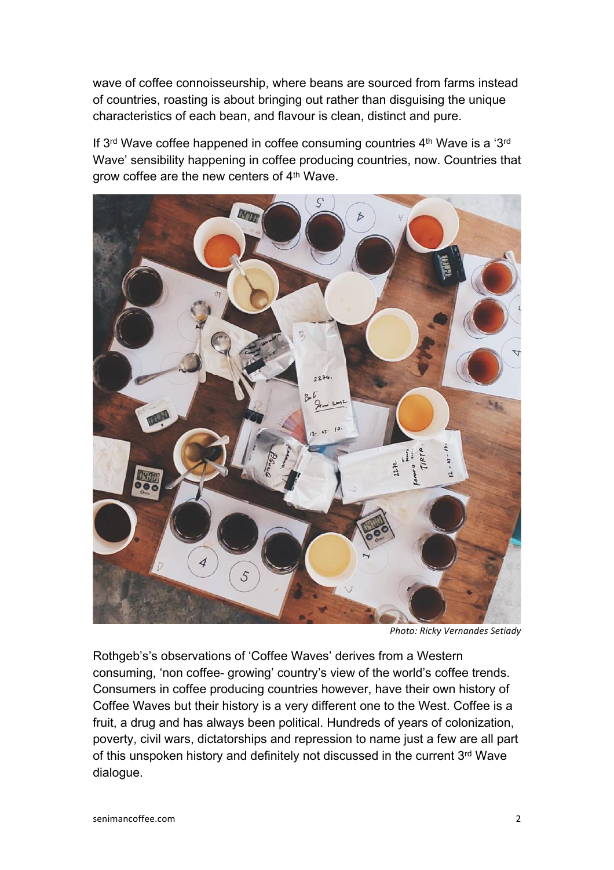wave of coffee connoisseurship, where beans are sourced from farms instead of countries, roasting is about bringing out rather than disguising the unique characteristics of each bean, and flavour is clean, distinct and pure.

If 3rd Wave coffee happened in coffee consuming countries 4th Wave is a ʻ3rd Wave' sensibility happening in coffee producing countries, now. Countries that grow coffee are the new centers of 4th Wave.



**Photo: Ricky Vernandes Setiady** 

Rothgeb's's observations of ʻCoffee Waves' derives from a Western consuming, ʻnon coffee- growing' country's view of the world's coffee trends. Consumers in coffee producing countries however, have their own history of Coffee Waves but their history is a very different one to the West. Coffee is a fruit, a drug and has always been political. Hundreds of years of colonization, poverty, civil wars, dictatorships and repression to name just a few are all part of this unspoken history and definitely not discussed in the current 3rd Wave dialogue.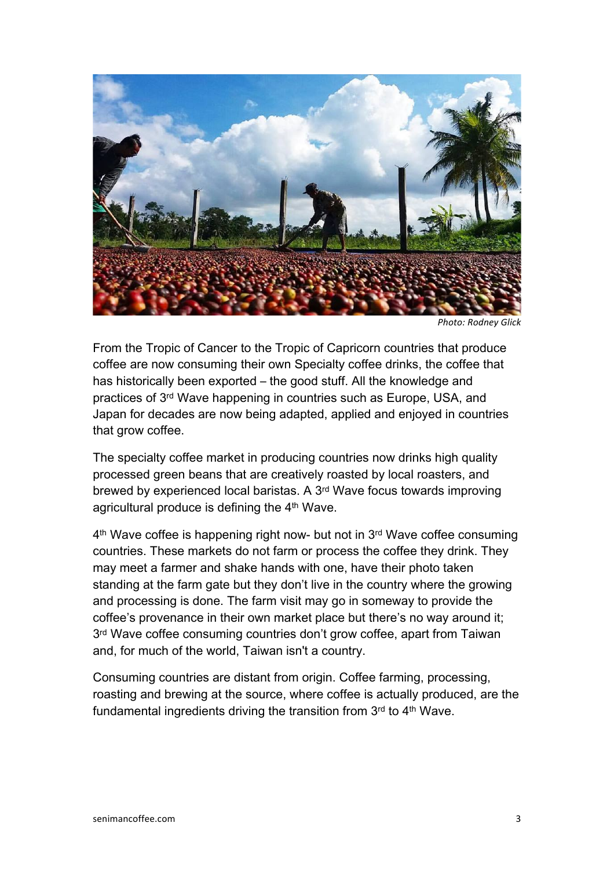

**Photo: Rodney Glick** 

From the Tropic of Cancer to the Tropic of Capricorn countries that produce coffee are now consuming their own Specialty coffee drinks, the coffee that has historically been exported – the good stuff. All the knowledge and practices of 3rd Wave happening in countries such as Europe, USA, and Japan for decades are now being adapted, applied and enjoyed in countries that grow coffee.

The specialty coffee market in producing countries now drinks high quality processed green beans that are creatively roasted by local roasters, and brewed by experienced local baristas. A 3rd Wave focus towards improving agricultural produce is defining the 4th Wave.

4th Wave coffee is happening right now- but not in 3rd Wave coffee consuming countries. These markets do not farm or process the coffee they drink. They may meet a farmer and shake hands with one, have their photo taken standing at the farm gate but they don't live in the country where the growing and processing is done. The farm visit may go in someway to provide the coffee's provenance in their own market place but there's no way around it;  $3<sup>rd</sup>$  Wave coffee consuming countries don't grow coffee, apart from Taiwan and, for much of the world, Taiwan isn't a country.

Consuming countries are distant from origin. Coffee farming, processing, roasting and brewing at the source, where coffee is actually produced, are the fundamental ingredients driving the transition from 3rd to 4th Wave.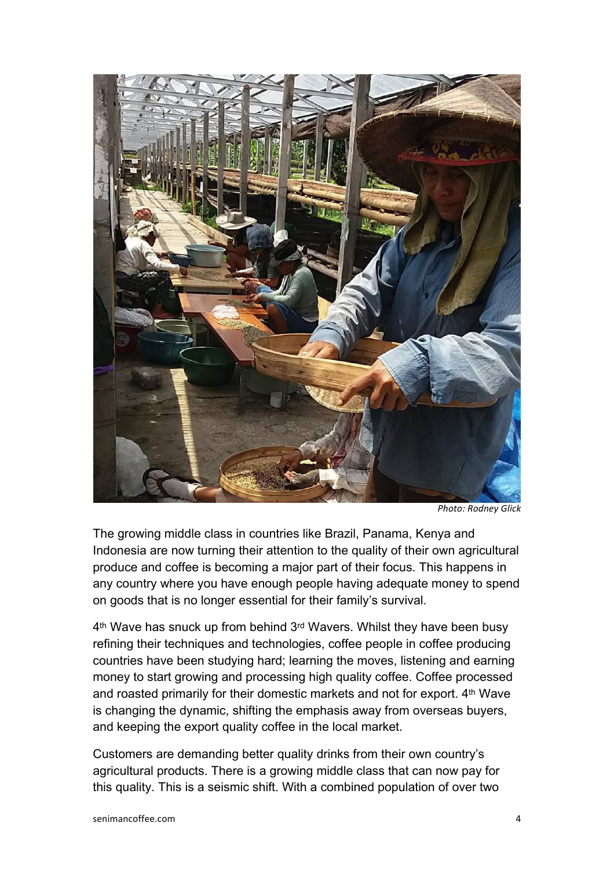

**Photo: Rodney Glick** 

The growing middle class in countries like Brazil, Panama, Kenya and Indonesia are now turning their attention to the quality of their own agricultural produce and coffee is becoming a major part of their focus. This happens in any country where you have enough people having adequate money to spend on goods that is no longer essential for their family's survival.

4th Wave has snuck up from behind 3rd Wavers. Whilst they have been busy refining their techniques and technologies, coffee people in coffee producing countries have been studying hard; learning the moves, listening and earning money to start growing and processing high quality coffee. Coffee processed and roasted primarily for their domestic markets and not for export. 4<sup>th</sup> Wave is changing the dynamic, shifting the emphasis away from overseas buyers, and keeping the export quality coffee in the local market.

Customers are demanding better quality drinks from their own country's agricultural products. There is a growing middle class that can now pay for this quality. This is a seismic shift. With a combined population of over two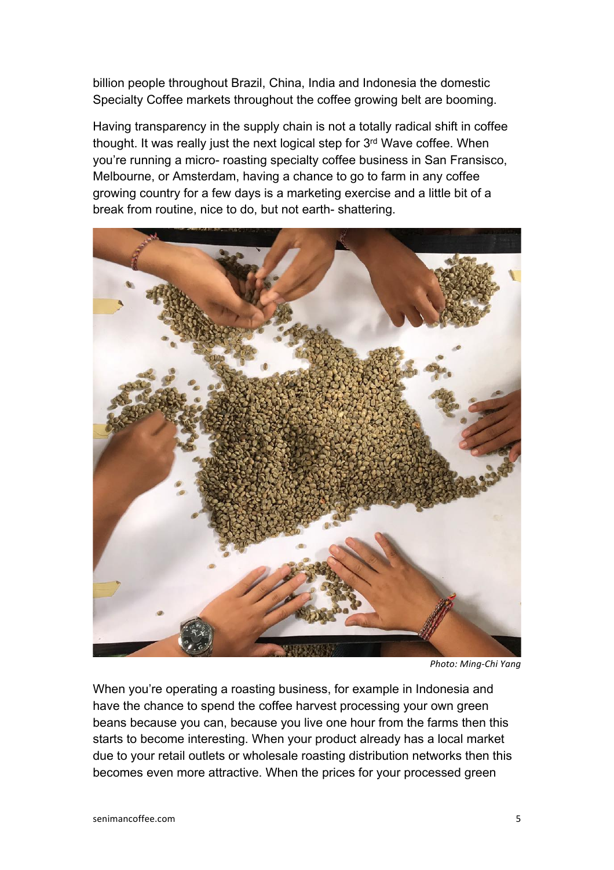billion people throughout Brazil, China, India and Indonesia the domestic Specialty Coffee markets throughout the coffee growing belt are booming.

Having transparency in the supply chain is not a totally radical shift in coffee thought. It was really just the next logical step for 3rd Wave coffee. When you're running a micro- roasting specialty coffee business in San Fransisco, Melbourne, or Amsterdam, having a chance to go to farm in any coffee growing country for a few days is a marketing exercise and a little bit of a break from routine, nice to do, but not earth- shattering.



**Photo: Ming-Chi Yang** 

When you're operating a roasting business, for example in Indonesia and have the chance to spend the coffee harvest processing your own green beans because you can, because you live one hour from the farms then this starts to become interesting. When your product already has a local market due to your retail outlets or wholesale roasting distribution networks then this becomes even more attractive. When the prices for your processed green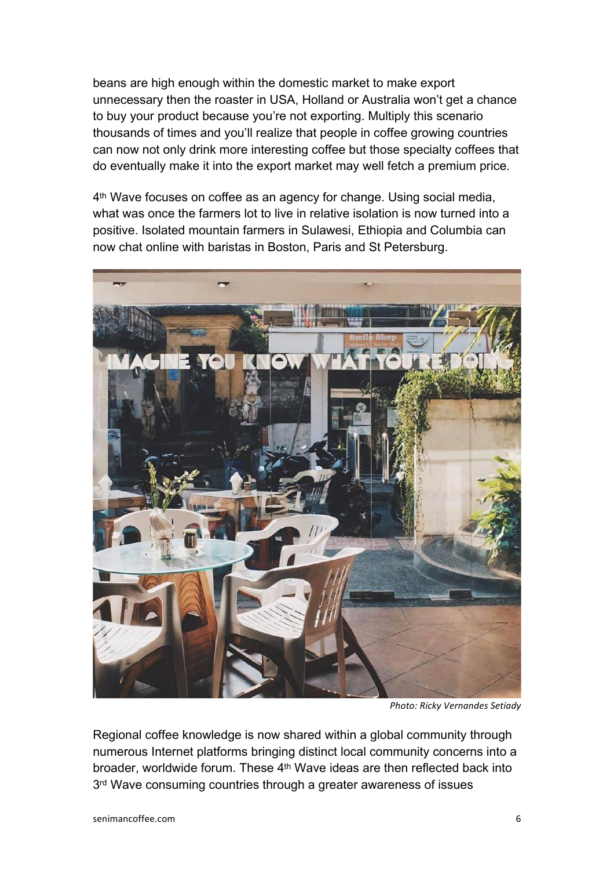beans are high enough within the domestic market to make export unnecessary then the roaster in USA, Holland or Australia won't get a chance to buy your product because you're not exporting. Multiply this scenario thousands of times and you'll realize that people in coffee growing countries can now not only drink more interesting coffee but those specialty coffees that do eventually make it into the export market may well fetch a premium price.

4th Wave focuses on coffee as an agency for change. Using social media, what was once the farmers lot to live in relative isolation is now turned into a positive. Isolated mountain farmers in Sulawesi, Ethiopia and Columbia can now chat online with baristas in Boston, Paris and St Petersburg.



**Photo: Ricky Vernandes Setiady** 

Regional coffee knowledge is now shared within a global community through numerous Internet platforms bringing distinct local community concerns into a broader, worldwide forum. These 4<sup>th</sup> Wave ideas are then reflected back into 3<sup>rd</sup> Wave consuming countries through a greater awareness of issues